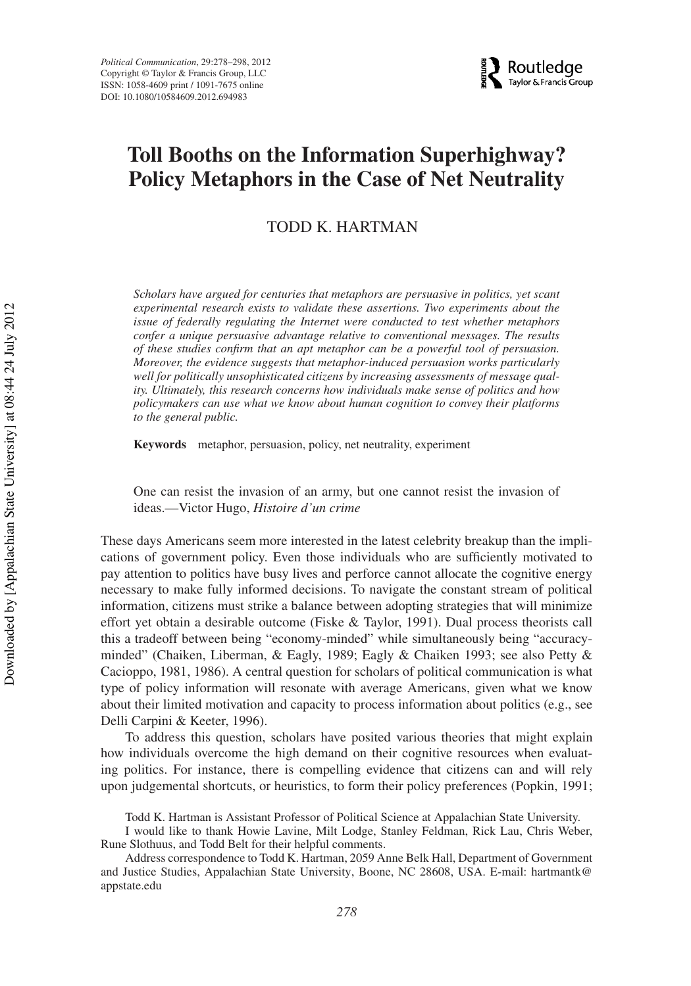

# **Toll Booths on the Information Superhighway? Policy Metaphors in the Case of Net Neutrality**

## TODD K. HARTMAN

*Scholars have argued for centuries that metaphors are persuasive in politics, yet scant experimental research exists to validate these assertions. Two experiments about the issue of federally regulating the Internet were conducted to test whether metaphors confer a unique persuasive advantage relative to conventional messages. The results of these studies confirm that an apt metaphor can be a powerful tool of persuasion. Moreover, the evidence suggests that metaphor-induced persuasion works particularly well for politically unsophisticated citizens by increasing assessments of message quality. Ultimately, this research concerns how individuals make sense of politics and how policymakers can use what we know about human cognition to convey their platforms to the general public.*

**Keywords** metaphor, persuasion, policy, net neutrality, experiment

One can resist the invasion of an army, but one cannot resist the invasion of ideas.—Victor Hugo, *Histoire d'un crime*

These days Americans seem more interested in the latest celebrity breakup than the implications of government policy. Even those individuals who are sufficiently motivated to pay attention to politics have busy lives and perforce cannot allocate the cognitive energy necessary to make fully informed decisions. To navigate the constant stream of political information, citizens must strike a balance between adopting strategies that will minimize effort yet obtain a desirable outcome (Fiske & Taylor, 1991). Dual process theorists call this a tradeoff between being "economy-minded" while simultaneously being "accuracyminded" (Chaiken, Liberman, & Eagly, 1989; Eagly & Chaiken 1993; see also Petty & Cacioppo, 1981, 1986). A central question for scholars of political communication is what type of policy information will resonate with average Americans, given what we know about their limited motivation and capacity to process information about politics (e.g., see Delli Carpini & Keeter, 1996).

To address this question, scholars have posited various theories that might explain how individuals overcome the high demand on their cognitive resources when evaluating politics. For instance, there is compelling evidence that citizens can and will rely upon judgemental shortcuts, or heuristics, to form their policy preferences (Popkin, 1991;

Todd K. Hartman is Assistant Professor of Political Science at Appalachian State University.

I would like to thank Howie Lavine, Milt Lodge, Stanley Feldman, Rick Lau, Chris Weber, Rune Slothuus, and Todd Belt for their helpful comments.

Address correspondence to Todd K. Hartman, 2059 Anne Belk Hall, Department of Government and Justice Studies, Appalachian State University, Boone, NC 28608, USA. E-mail: hartmantk@ appstate.edu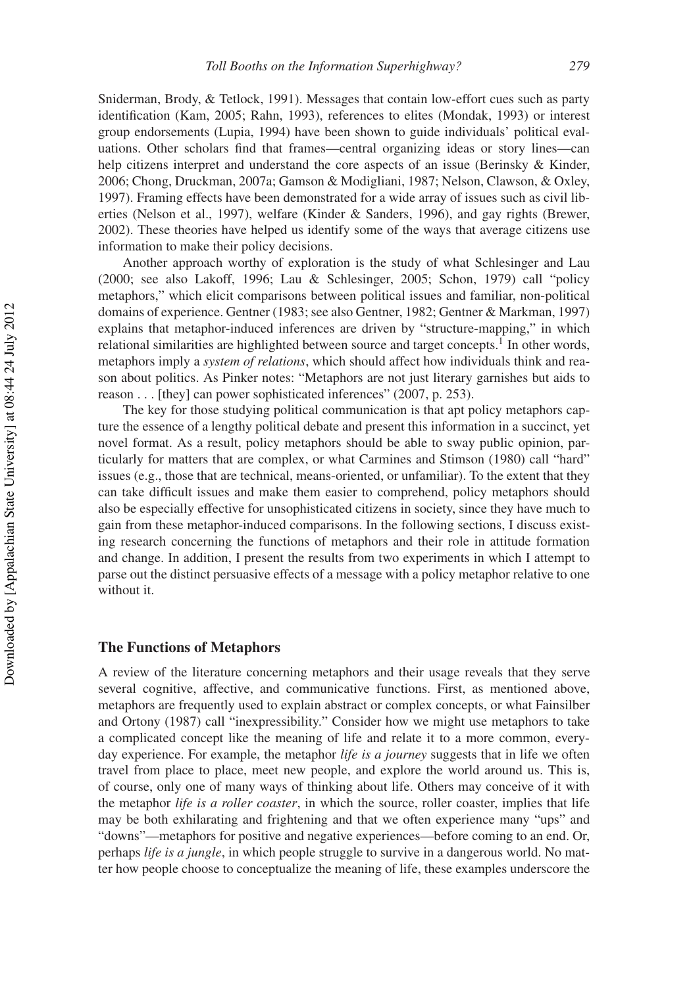Sniderman, Brody, & Tetlock, 1991). Messages that contain low-effort cues such as party identification (Kam, 2005; Rahn, 1993), references to elites (Mondak, 1993) or interest group endorsements (Lupia, 1994) have been shown to guide individuals' political evaluations. Other scholars find that frames—central organizing ideas or story lines—can help citizens interpret and understand the core aspects of an issue (Berinsky & Kinder, 2006; Chong, Druckman, 2007a; Gamson & Modigliani, 1987; Nelson, Clawson, & Oxley, 1997). Framing effects have been demonstrated for a wide array of issues such as civil liberties (Nelson et al., 1997), welfare (Kinder & Sanders, 1996), and gay rights (Brewer, 2002). These theories have helped us identify some of the ways that average citizens use information to make their policy decisions.

Another approach worthy of exploration is the study of what Schlesinger and Lau (2000; see also Lakoff, 1996; Lau & Schlesinger, 2005; Schon, 1979) call "policy metaphors," which elicit comparisons between political issues and familiar, non-political domains of experience. Gentner (1983; see also Gentner, 1982; Gentner & Markman, 1997) explains that metaphor-induced inferences are driven by "structure-mapping," in which relational similarities are highlighted between source and target concepts.<sup>1</sup> In other words, metaphors imply a *system of relations*, which should affect how individuals think and reason about politics. As Pinker notes: "Metaphors are not just literary garnishes but aids to reason . . . [they] can power sophisticated inferences" (2007, p. 253).

The key for those studying political communication is that apt policy metaphors capture the essence of a lengthy political debate and present this information in a succinct, yet novel format. As a result, policy metaphors should be able to sway public opinion, particularly for matters that are complex, or what Carmines and Stimson (1980) call "hard" issues (e.g., those that are technical, means-oriented, or unfamiliar). To the extent that they can take difficult issues and make them easier to comprehend, policy metaphors should also be especially effective for unsophisticated citizens in society, since they have much to gain from these metaphor-induced comparisons. In the following sections, I discuss existing research concerning the functions of metaphors and their role in attitude formation and change. In addition, I present the results from two experiments in which I attempt to parse out the distinct persuasive effects of a message with a policy metaphor relative to one without it.

#### **The Functions of Metaphors**

A review of the literature concerning metaphors and their usage reveals that they serve several cognitive, affective, and communicative functions. First, as mentioned above, metaphors are frequently used to explain abstract or complex concepts, or what Fainsilber and Ortony (1987) call "inexpressibility." Consider how we might use metaphors to take a complicated concept like the meaning of life and relate it to a more common, everyday experience. For example, the metaphor *life is a journey* suggests that in life we often travel from place to place, meet new people, and explore the world around us. This is, of course, only one of many ways of thinking about life. Others may conceive of it with the metaphor *life is a roller coaster*, in which the source, roller coaster, implies that life may be both exhilarating and frightening and that we often experience many "ups" and "downs"—metaphors for positive and negative experiences—before coming to an end. Or, perhaps *life is a jungle*, in which people struggle to survive in a dangerous world. No matter how people choose to conceptualize the meaning of life, these examples underscore the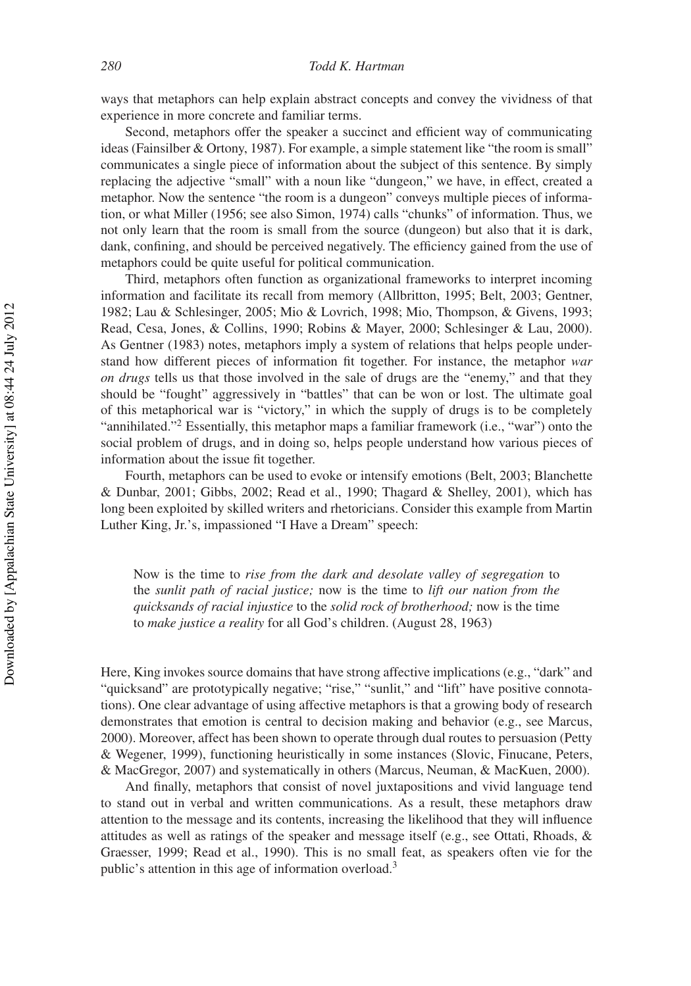ways that metaphors can help explain abstract concepts and convey the vividness of that experience in more concrete and familiar terms.

Second, metaphors offer the speaker a succinct and efficient way of communicating ideas (Fainsilber & Ortony, 1987). For example, a simple statement like "the room is small" communicates a single piece of information about the subject of this sentence. By simply replacing the adjective "small" with a noun like "dungeon," we have, in effect, created a metaphor. Now the sentence "the room is a dungeon" conveys multiple pieces of information, or what Miller (1956; see also Simon, 1974) calls "chunks" of information. Thus, we not only learn that the room is small from the source (dungeon) but also that it is dark, dank, confining, and should be perceived negatively. The efficiency gained from the use of metaphors could be quite useful for political communication.

Third, metaphors often function as organizational frameworks to interpret incoming information and facilitate its recall from memory (Allbritton, 1995; Belt, 2003; Gentner, 1982; Lau & Schlesinger, 2005; Mio & Lovrich, 1998; Mio, Thompson, & Givens, 1993; Read, Cesa, Jones, & Collins, 1990; Robins & Mayer, 2000; Schlesinger & Lau, 2000). As Gentner (1983) notes, metaphors imply a system of relations that helps people understand how different pieces of information fit together. For instance, the metaphor *war on drugs* tells us that those involved in the sale of drugs are the "enemy," and that they should be "fought" aggressively in "battles" that can be won or lost. The ultimate goal of this metaphorical war is "victory," in which the supply of drugs is to be completely "annihilated."<sup>2</sup> Essentially, this metaphor maps a familiar framework (i.e., "war") onto the social problem of drugs, and in doing so, helps people understand how various pieces of information about the issue fit together.

Fourth, metaphors can be used to evoke or intensify emotions (Belt, 2003; Blanchette & Dunbar, 2001; Gibbs, 2002; Read et al., 1990; Thagard & Shelley, 2001), which has long been exploited by skilled writers and rhetoricians. Consider this example from Martin Luther King, Jr.'s, impassioned "I Have a Dream" speech:

Now is the time to *rise from the dark and desolate valley of segregation* to the *sunlit path of racial justice;* now is the time to *lift our nation from the quicksands of racial injustice* to the *solid rock of brotherhood;* now is the time to *make justice a reality* for all God's children. (August 28, 1963)

Here, King invokes source domains that have strong affective implications (e.g., "dark" and "quicksand" are prototypically negative; "rise," "sunlit," and "lift" have positive connotations). One clear advantage of using affective metaphors is that a growing body of research demonstrates that emotion is central to decision making and behavior (e.g., see Marcus, 2000). Moreover, affect has been shown to operate through dual routes to persuasion (Petty & Wegener, 1999), functioning heuristically in some instances (Slovic, Finucane, Peters, & MacGregor, 2007) and systematically in others (Marcus, Neuman, & MacKuen, 2000).

And finally, metaphors that consist of novel juxtapositions and vivid language tend to stand out in verbal and written communications. As a result, these metaphors draw attention to the message and its contents, increasing the likelihood that they will influence attitudes as well as ratings of the speaker and message itself (e.g., see Ottati, Rhoads, & Graesser, 1999; Read et al., 1990). This is no small feat, as speakers often vie for the public's attention in this age of information overload.<sup>3</sup>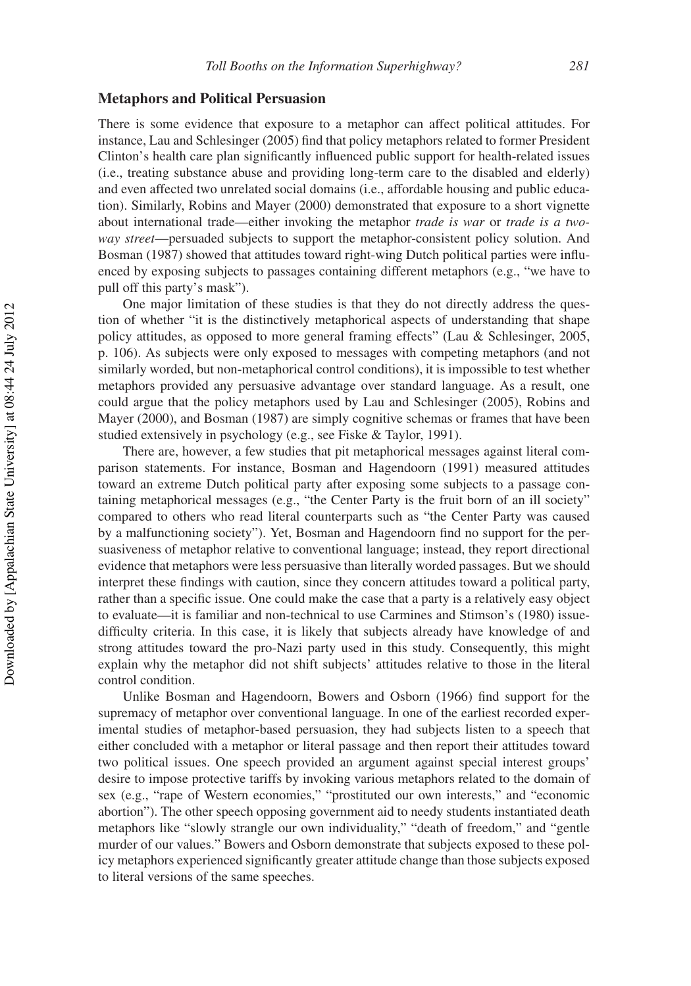#### **Metaphors and Political Persuasion**

There is some evidence that exposure to a metaphor can affect political attitudes. For instance, Lau and Schlesinger (2005) find that policy metaphors related to former President Clinton's health care plan significantly influenced public support for health-related issues (i.e., treating substance abuse and providing long-term care to the disabled and elderly) and even affected two unrelated social domains (i.e., affordable housing and public education). Similarly, Robins and Mayer (2000) demonstrated that exposure to a short vignette about international trade—either invoking the metaphor *trade is war* or *trade is a twoway street*—persuaded subjects to support the metaphor-consistent policy solution. And Bosman (1987) showed that attitudes toward right-wing Dutch political parties were influenced by exposing subjects to passages containing different metaphors (e.g., "we have to pull off this party's mask").

One major limitation of these studies is that they do not directly address the question of whether "it is the distinctively metaphorical aspects of understanding that shape policy attitudes, as opposed to more general framing effects" (Lau & Schlesinger, 2005, p. 106). As subjects were only exposed to messages with competing metaphors (and not similarly worded, but non-metaphorical control conditions), it is impossible to test whether metaphors provided any persuasive advantage over standard language. As a result, one could argue that the policy metaphors used by Lau and Schlesinger (2005), Robins and Mayer (2000), and Bosman (1987) are simply cognitive schemas or frames that have been studied extensively in psychology (e.g., see Fiske & Taylor, 1991).

There are, however, a few studies that pit metaphorical messages against literal comparison statements. For instance, Bosman and Hagendoorn (1991) measured attitudes toward an extreme Dutch political party after exposing some subjects to a passage containing metaphorical messages (e.g., "the Center Party is the fruit born of an ill society" compared to others who read literal counterparts such as "the Center Party was caused by a malfunctioning society"). Yet, Bosman and Hagendoorn find no support for the persuasiveness of metaphor relative to conventional language; instead, they report directional evidence that metaphors were less persuasive than literally worded passages. But we should interpret these findings with caution, since they concern attitudes toward a political party, rather than a specific issue. One could make the case that a party is a relatively easy object to evaluate—it is familiar and non-technical to use Carmines and Stimson's (1980) issuedifficulty criteria. In this case, it is likely that subjects already have knowledge of and strong attitudes toward the pro-Nazi party used in this study. Consequently, this might explain why the metaphor did not shift subjects' attitudes relative to those in the literal control condition.

Unlike Bosman and Hagendoorn, Bowers and Osborn (1966) find support for the supremacy of metaphor over conventional language. In one of the earliest recorded experimental studies of metaphor-based persuasion, they had subjects listen to a speech that either concluded with a metaphor or literal passage and then report their attitudes toward two political issues. One speech provided an argument against special interest groups' desire to impose protective tariffs by invoking various metaphors related to the domain of sex (e.g., "rape of Western economies," "prostituted our own interests," and "economic abortion"). The other speech opposing government aid to needy students instantiated death metaphors like "slowly strangle our own individuality," "death of freedom," and "gentle murder of our values." Bowers and Osborn demonstrate that subjects exposed to these policy metaphors experienced significantly greater attitude change than those subjects exposed to literal versions of the same speeches.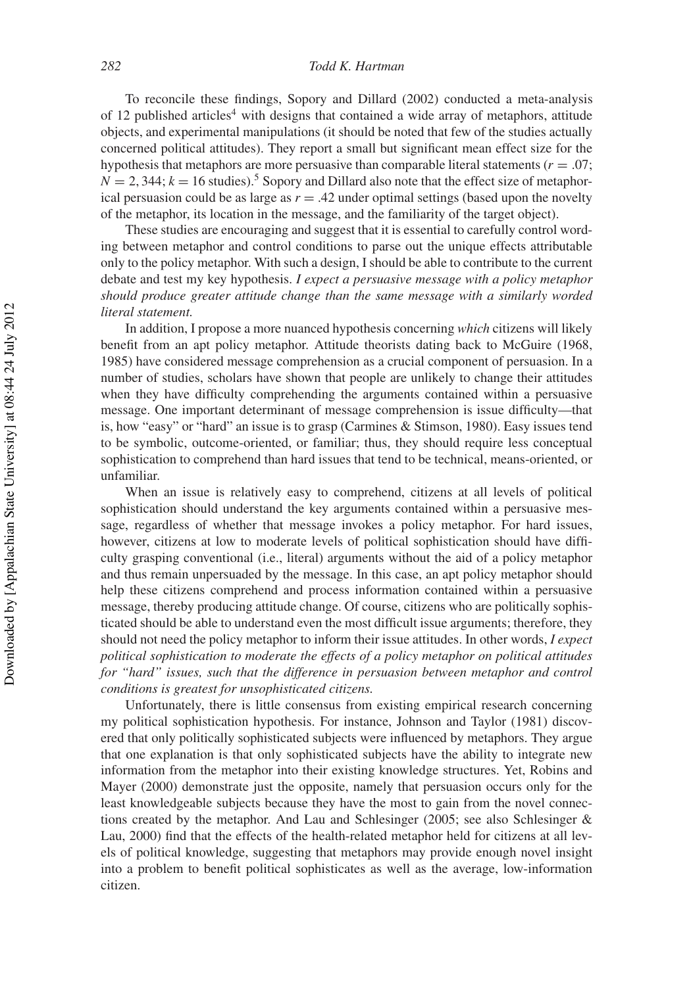To reconcile these findings, Sopory and Dillard (2002) conducted a meta-analysis of 12 published articles<sup>4</sup> with designs that contained a wide array of metaphors, attitude objects, and experimental manipulations (it should be noted that few of the studies actually concerned political attitudes). They report a small but significant mean effect size for the hypothesis that metaphors are more persuasive than comparable literal statements (*r* = .07;  $N = 2,344; k = 16$  studies).<sup>5</sup> Sopory and Dillard also note that the effect size of metaphorical persuasion could be as large as  $r = .42$  under optimal settings (based upon the novelty of the metaphor, its location in the message, and the familiarity of the target object).

These studies are encouraging and suggest that it is essential to carefully control wording between metaphor and control conditions to parse out the unique effects attributable only to the policy metaphor. With such a design, I should be able to contribute to the current debate and test my key hypothesis. *I expect a persuasive message with a policy metaphor should produce greater attitude change than the same message with a similarly worded literal statement.*

In addition, I propose a more nuanced hypothesis concerning *which* citizens will likely benefit from an apt policy metaphor. Attitude theorists dating back to McGuire (1968, 1985) have considered message comprehension as a crucial component of persuasion. In a number of studies, scholars have shown that people are unlikely to change their attitudes when they have difficulty comprehending the arguments contained within a persuasive message. One important determinant of message comprehension is issue difficulty—that is, how "easy" or "hard" an issue is to grasp (Carmines & Stimson, 1980). Easy issues tend to be symbolic, outcome-oriented, or familiar; thus, they should require less conceptual sophistication to comprehend than hard issues that tend to be technical, means-oriented, or unfamiliar.

When an issue is relatively easy to comprehend, citizens at all levels of political sophistication should understand the key arguments contained within a persuasive message, regardless of whether that message invokes a policy metaphor. For hard issues, however, citizens at low to moderate levels of political sophistication should have difficulty grasping conventional (i.e., literal) arguments without the aid of a policy metaphor and thus remain unpersuaded by the message. In this case, an apt policy metaphor should help these citizens comprehend and process information contained within a persuasive message, thereby producing attitude change. Of course, citizens who are politically sophisticated should be able to understand even the most difficult issue arguments; therefore, they should not need the policy metaphor to inform their issue attitudes. In other words, *I expect political sophistication to moderate the effects of a policy metaphor on political attitudes for "hard" issues, such that the difference in persuasion between metaphor and control conditions is greatest for unsophisticated citizens.*

Unfortunately, there is little consensus from existing empirical research concerning my political sophistication hypothesis. For instance, Johnson and Taylor (1981) discovered that only politically sophisticated subjects were influenced by metaphors. They argue that one explanation is that only sophisticated subjects have the ability to integrate new information from the metaphor into their existing knowledge structures. Yet, Robins and Mayer (2000) demonstrate just the opposite, namely that persuasion occurs only for the least knowledgeable subjects because they have the most to gain from the novel connections created by the metaphor. And Lau and Schlesinger (2005; see also Schlesinger & Lau, 2000) find that the effects of the health-related metaphor held for citizens at all levels of political knowledge, suggesting that metaphors may provide enough novel insight into a problem to benefit political sophisticates as well as the average, low-information citizen.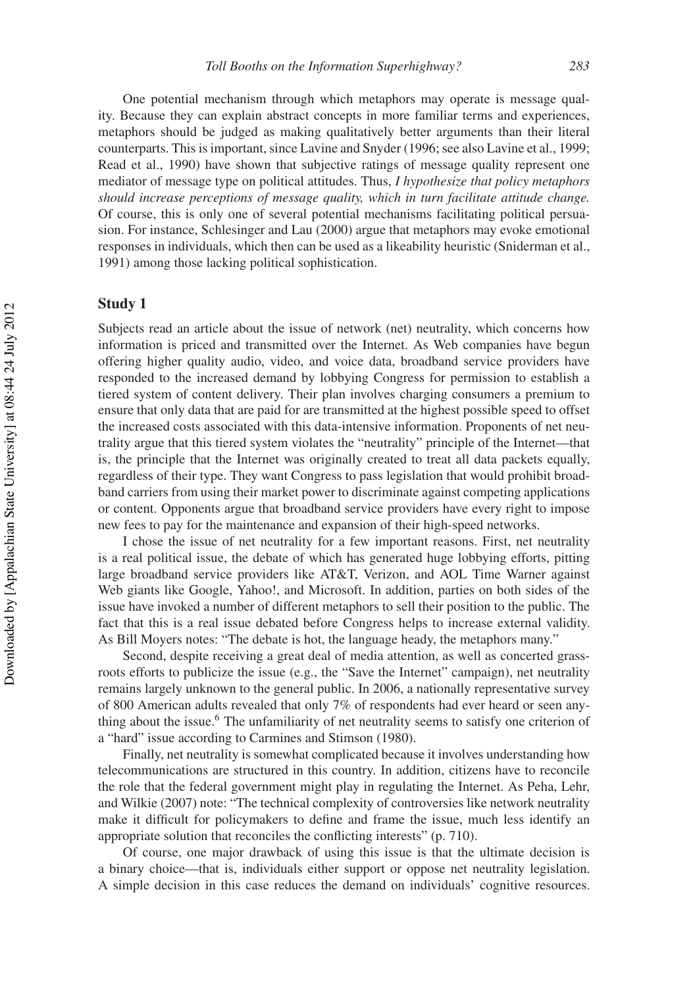One potential mechanism through which metaphors may operate is message quality. Because they can explain abstract concepts in more familiar terms and experiences, metaphors should be judged as making qualitatively better arguments than their literal counterparts. This is important, since Lavine and Snyder (1996; see also Lavine et al., 1999; Read et al., 1990) have shown that subjective ratings of message quality represent one mediator of message type on political attitudes. Thus, *I hypothesize that policy metaphors should increase perceptions of message quality, which in turn facilitate attitude change.* Of course, this is only one of several potential mechanisms facilitating political persuasion. For instance, Schlesinger and Lau (2000) argue that metaphors may evoke emotional responses in individuals, which then can be used as a likeability heuristic (Sniderman et al., 1991) among those lacking political sophistication.

## **Study 1**

Subjects read an article about the issue of network (net) neutrality, which concerns how information is priced and transmitted over the Internet. As Web companies have begun offering higher quality audio, video, and voice data, broadband service providers have responded to the increased demand by lobbying Congress for permission to establish a tiered system of content delivery. Their plan involves charging consumers a premium to ensure that only data that are paid for are transmitted at the highest possible speed to offset the increased costs associated with this data-intensive information. Proponents of net neutrality argue that this tiered system violates the "neutrality" principle of the Internet—that is, the principle that the Internet was originally created to treat all data packets equally, regardless of their type. They want Congress to pass legislation that would prohibit broadband carriers from using their market power to discriminate against competing applications or content. Opponents argue that broadband service providers have every right to impose new fees to pay for the maintenance and expansion of their high-speed networks.

I chose the issue of net neutrality for a few important reasons. First, net neutrality is a real political issue, the debate of which has generated huge lobbying efforts, pitting large broadband service providers like AT&T, Verizon, and AOL Time Warner against Web giants like Google, Yahoo!, and Microsoft. In addition, parties on both sides of the issue have invoked a number of different metaphors to sell their position to the public. The fact that this is a real issue debated before Congress helps to increase external validity. As Bill Moyers notes: "The debate is hot, the language heady, the metaphors many."

Second, despite receiving a great deal of media attention, as well as concerted grassroots efforts to publicize the issue (e.g., the "Save the Internet" campaign), net neutrality remains largely unknown to the general public. In 2006, a nationally representative survey of 800 American adults revealed that only 7% of respondents had ever heard or seen anything about the issue.6 The unfamiliarity of net neutrality seems to satisfy one criterion of a "hard" issue according to Carmines and Stimson (1980).

Finally, net neutrality is somewhat complicated because it involves understanding how telecommunications are structured in this country. In addition, citizens have to reconcile the role that the federal government might play in regulating the Internet. As Peha, Lehr, and Wilkie (2007) note: "The technical complexity of controversies like network neutrality make it difficult for policymakers to define and frame the issue, much less identify an appropriate solution that reconciles the conflicting interests" (p. 710).

Of course, one major drawback of using this issue is that the ultimate decision is a binary choice—that is, individuals either support or oppose net neutrality legislation. A simple decision in this case reduces the demand on individuals' cognitive resources.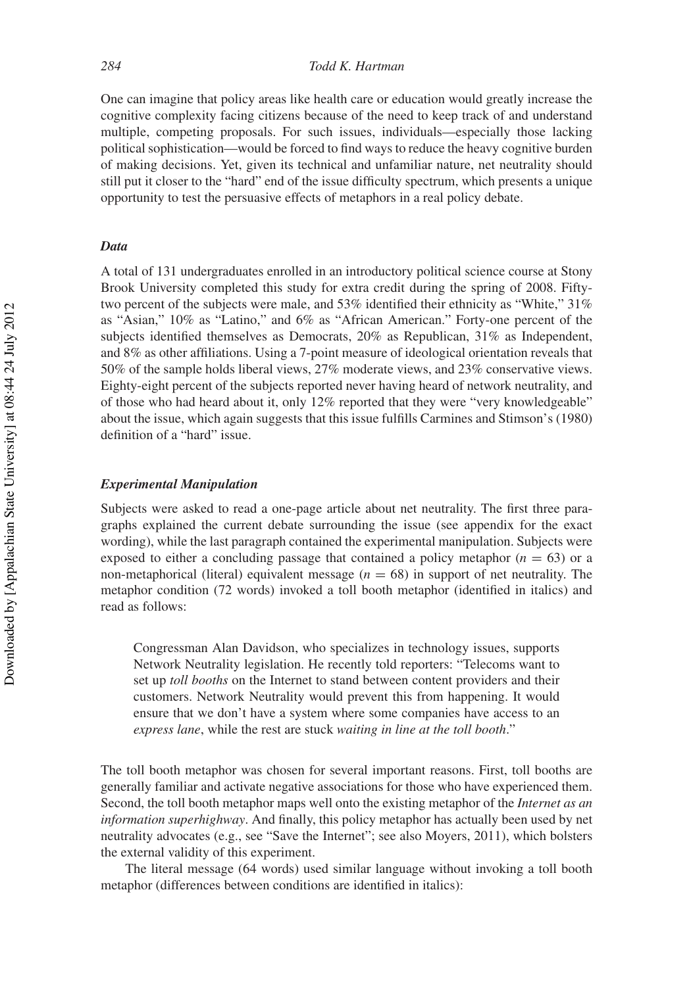One can imagine that policy areas like health care or education would greatly increase the cognitive complexity facing citizens because of the need to keep track of and understand multiple, competing proposals. For such issues, individuals—especially those lacking political sophistication—would be forced to find ways to reduce the heavy cognitive burden of making decisions. Yet, given its technical and unfamiliar nature, net neutrality should still put it closer to the "hard" end of the issue difficulty spectrum, which presents a unique opportunity to test the persuasive effects of metaphors in a real policy debate.

#### *Data*

A total of 131 undergraduates enrolled in an introductory political science course at Stony Brook University completed this study for extra credit during the spring of 2008. Fiftytwo percent of the subjects were male, and 53% identified their ethnicity as "White," 31% as "Asian," 10% as "Latino," and 6% as "African American." Forty-one percent of the subjects identified themselves as Democrats, 20% as Republican, 31% as Independent, and 8% as other affiliations. Using a 7-point measure of ideological orientation reveals that 50% of the sample holds liberal views, 27% moderate views, and 23% conservative views. Eighty-eight percent of the subjects reported never having heard of network neutrality, and of those who had heard about it, only 12% reported that they were "very knowledgeable" about the issue, which again suggests that this issue fulfills Carmines and Stimson's (1980) definition of a "hard" issue.

## *Experimental Manipulation*

Subjects were asked to read a one-page article about net neutrality. The first three paragraphs explained the current debate surrounding the issue (see appendix for the exact wording), while the last paragraph contained the experimental manipulation. Subjects were exposed to either a concluding passage that contained a policy metaphor  $(n = 63)$  or a non-metaphorical (literal) equivalent message (*n* = 68) in support of net neutrality. The metaphor condition (72 words) invoked a toll booth metaphor (identified in italics) and read as follows:

Congressman Alan Davidson, who specializes in technology issues, supports Network Neutrality legislation. He recently told reporters: "Telecoms want to set up *toll booths* on the Internet to stand between content providers and their customers. Network Neutrality would prevent this from happening. It would ensure that we don't have a system where some companies have access to an *express lane*, while the rest are stuck *waiting in line at the toll booth*."

The toll booth metaphor was chosen for several important reasons. First, toll booths are generally familiar and activate negative associations for those who have experienced them. Second, the toll booth metaphor maps well onto the existing metaphor of the *Internet as an information superhighway*. And finally, this policy metaphor has actually been used by net neutrality advocates (e.g., see "Save the Internet"; see also Moyers, 2011), which bolsters the external validity of this experiment.

The literal message (64 words) used similar language without invoking a toll booth metaphor (differences between conditions are identified in italics):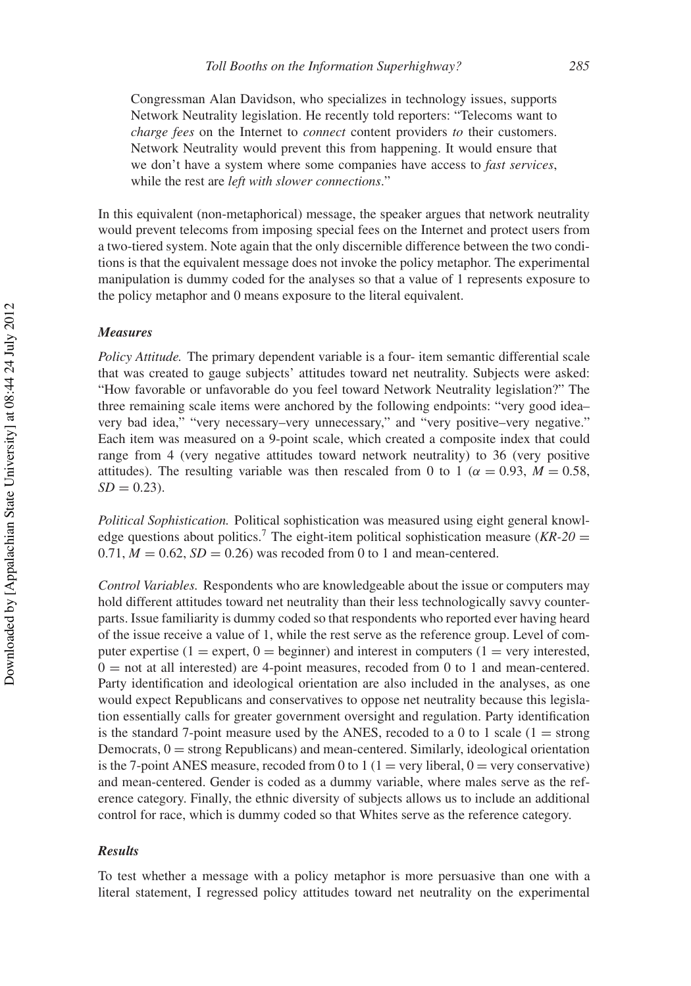Congressman Alan Davidson, who specializes in technology issues, supports Network Neutrality legislation. He recently told reporters: "Telecoms want to *charge fees* on the Internet to *connect* content providers *to* their customers. Network Neutrality would prevent this from happening. It would ensure that we don't have a system where some companies have access to *fast services*, while the rest are *left with slower connections*."

In this equivalent (non-metaphorical) message, the speaker argues that network neutrality would prevent telecoms from imposing special fees on the Internet and protect users from a two-tiered system. Note again that the only discernible difference between the two conditions is that the equivalent message does not invoke the policy metaphor. The experimental manipulation is dummy coded for the analyses so that a value of 1 represents exposure to the policy metaphor and 0 means exposure to the literal equivalent.

#### *Measures*

*Policy Attitude.* The primary dependent variable is a four- item semantic differential scale that was created to gauge subjects' attitudes toward net neutrality. Subjects were asked: "How favorable or unfavorable do you feel toward Network Neutrality legislation?" The three remaining scale items were anchored by the following endpoints: "very good idea– very bad idea," "very necessary–very unnecessary," and "very positive–very negative." Each item was measured on a 9-point scale, which created a composite index that could range from 4 (very negative attitudes toward network neutrality) to 36 (very positive attitudes). The resulting variable was then rescaled from 0 to 1 ( $\alpha = 0.93$ ,  $M = 0.58$ ,  $SD = 0.23$ .

*Political Sophistication.* Political sophistication was measured using eight general knowledge questions about politics.<sup>7</sup> The eight-item political sophistication measure (*KR-20* =  $0.71, M = 0.62, SD = 0.26$  was recoded from 0 to 1 and mean-centered.

*Control Variables.* Respondents who are knowledgeable about the issue or computers may hold different attitudes toward net neutrality than their less technologically savvy counterparts. Issue familiarity is dummy coded so that respondents who reported ever having heard of the issue receive a value of 1, while the rest serve as the reference group. Level of computer expertise (1 = expert, 0 = beginner) and interest in computers (1 = very interested,  $0 =$  not at all interested) are 4-point measures, recoded from 0 to 1 and mean-centered. Party identification and ideological orientation are also included in the analyses, as one would expect Republicans and conservatives to oppose net neutrality because this legislation essentially calls for greater government oversight and regulation. Party identification is the standard 7-point measure used by the ANES, recoded to a 0 to 1 scale  $(1 =$  strong Democrats,  $0 =$  strong Republicans) and mean-centered. Similarly, ideological orientation is the 7-point ANES measure, recoded from 0 to 1 (1 = very liberal,  $0 =$  very conservative) and mean-centered. Gender is coded as a dummy variable, where males serve as the reference category. Finally, the ethnic diversity of subjects allows us to include an additional control for race, which is dummy coded so that Whites serve as the reference category.

#### *Results*

To test whether a message with a policy metaphor is more persuasive than one with a literal statement, I regressed policy attitudes toward net neutrality on the experimental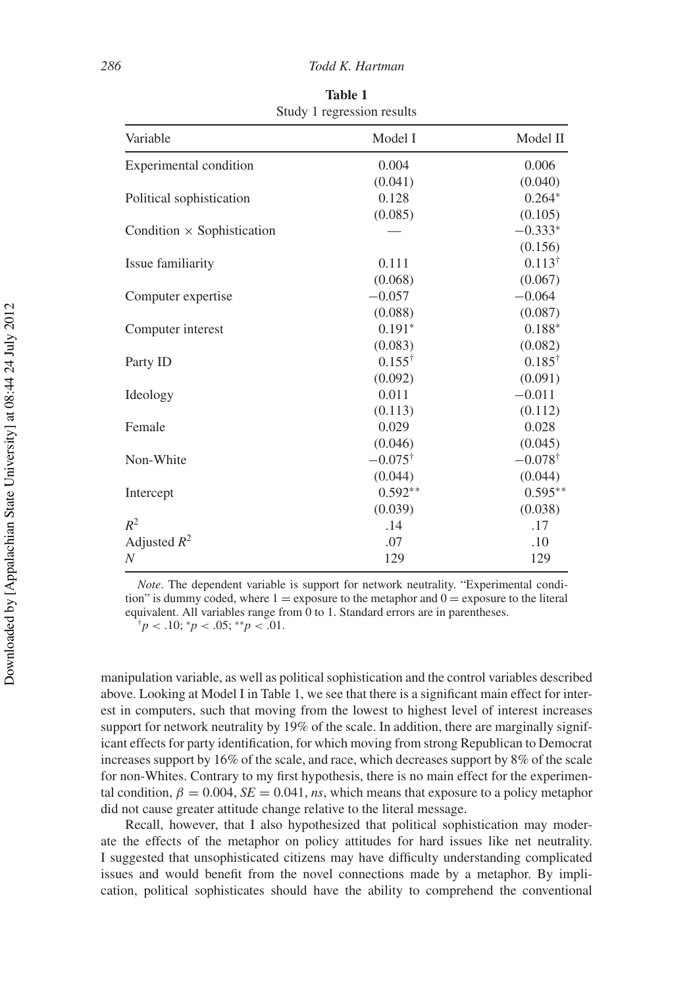| Variable                          | Model I            | Model II           |
|-----------------------------------|--------------------|--------------------|
| Experimental condition            | 0.004              | 0.006              |
|                                   | (0.041)            | (0.040)            |
| Political sophistication          | 0.128              | $0.264*$           |
|                                   | (0.085)            | (0.105)            |
| Condition $\times$ Sophistication |                    | $-0.333*$          |
|                                   |                    | (0.156)            |
| Issue familiarity                 | 0.111              | $0.113^{\dagger}$  |
|                                   | (0.068)            | (0.067)            |
| Computer expertise                | $-0.057$           | $-0.064$           |
|                                   | (0.088)            | (0.087)            |
| Computer interest                 | $0.191*$           | $0.188*$           |
|                                   | (0.083)            | (0.082)            |
| Party ID                          | $0.155^{\dagger}$  | $0.185^{\dagger}$  |
|                                   | (0.092)            | (0.091)            |
| Ideology                          | 0.011              | $-0.011$           |
|                                   | (0.113)            | (0.112)            |
| Female                            | 0.029              | 0.028              |
|                                   | (0.046)            | (0.045)            |
| Non-White                         | $-0.075^{\dagger}$ | $-0.078^{\dagger}$ |
|                                   | (0.044)            | (0.044)            |
| Intercept                         | $0.592**$          | $0.595**$          |
|                                   | (0.039)            | (0.038)            |
| $R^2$                             | .14                | .17                |
| Adjusted $R^2$                    | .07                | .10                |
| N                                 | 129                | 129                |

**Table 1** Study 1 regression results

*Note*. The dependent variable is support for network neutrality. "Experimental condition" is dummy coded, where  $1 =$  exposure to the metaphor and  $0 =$  exposure to the literal equivalent. All variables range from 0 to 1. Standard errors are in parentheses.  $\phi^{\dagger} p < .10; \phi^{\dagger} p < .05; \phi^{\dagger} p < .01.$ 

manipulation variable, as well as political sophistication and the control variables described above. Looking at Model I in Table 1, we see that there is a significant main effect for interest in computers, such that moving from the lowest to highest level of interest increases support for network neutrality by 19% of the scale. In addition, there are marginally significant effects for party identification, for which moving from strong Republican to Democrat increases support by 16% of the scale, and race, which decreases support by 8% of the scale for non-Whites. Contrary to my first hypothesis, there is no main effect for the experimental condition,  $\beta = 0.004$ ,  $SE = 0.041$ , *ns*, which means that exposure to a policy metaphor did not cause greater attitude change relative to the literal message.

Recall, however, that I also hypothesized that political sophistication may moderate the effects of the metaphor on policy attitudes for hard issues like net neutrality. I suggested that unsophisticated citizens may have difficulty understanding complicated issues and would benefit from the novel connections made by a metaphor. By implication, political sophisticates should have the ability to comprehend the conventional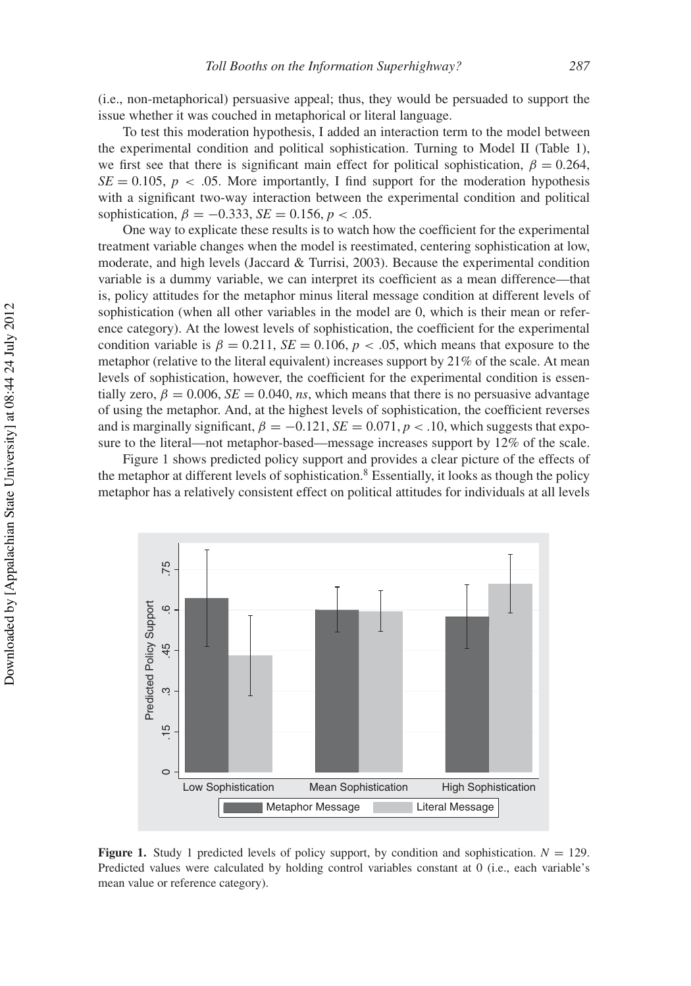(i.e., non-metaphorical) persuasive appeal; thus, they would be persuaded to support the issue whether it was couched in metaphorical or literal language.

To test this moderation hypothesis, I added an interaction term to the model between the experimental condition and political sophistication. Turning to Model II (Table 1), we first see that there is significant main effect for political sophistication,  $\beta = 0.264$ ,  $SE = 0.105$ ,  $p < .05$ . More importantly, I find support for the moderation hypothesis with a significant two-way interaction between the experimental condition and political sophistication,  $\beta = -0.333$ ,  $SE = 0.156$ ,  $p < .05$ .

One way to explicate these results is to watch how the coefficient for the experimental treatment variable changes when the model is reestimated, centering sophistication at low, moderate, and high levels (Jaccard  $&$  Turrisi, 2003). Because the experimental condition variable is a dummy variable, we can interpret its coefficient as a mean difference—that is, policy attitudes for the metaphor minus literal message condition at different levels of sophistication (when all other variables in the model are 0, which is their mean or reference category). At the lowest levels of sophistication, the coefficient for the experimental condition variable is  $\beta = 0.211$ ,  $SE = 0.106$ ,  $p < .05$ , which means that exposure to the metaphor (relative to the literal equivalent) increases support by 21% of the scale. At mean levels of sophistication, however, the coefficient for the experimental condition is essentially zero,  $\beta = 0.006$ ,  $SE = 0.040$ , *ns*, which means that there is no persuasive advantage of using the metaphor. And, at the highest levels of sophistication, the coefficient reverses and is marginally significant,  $\beta = -0.121$ ,  $SE = 0.071$ ,  $p < .10$ , which suggests that exposure to the literal—not metaphor-based—message increases support by 12% of the scale.

Figure 1 shows predicted policy support and provides a clear picture of the effects of the metaphor at different levels of sophistication.<sup>8</sup> Essentially, it looks as though the policy metaphor has a relatively consistent effect on political attitudes for individuals at all levels



**Figure 1.** Study 1 predicted levels of policy support, by condition and sophistication.  $N = 129$ . Predicted values were calculated by holding control variables constant at 0 (i.e., each variable's mean value or reference category).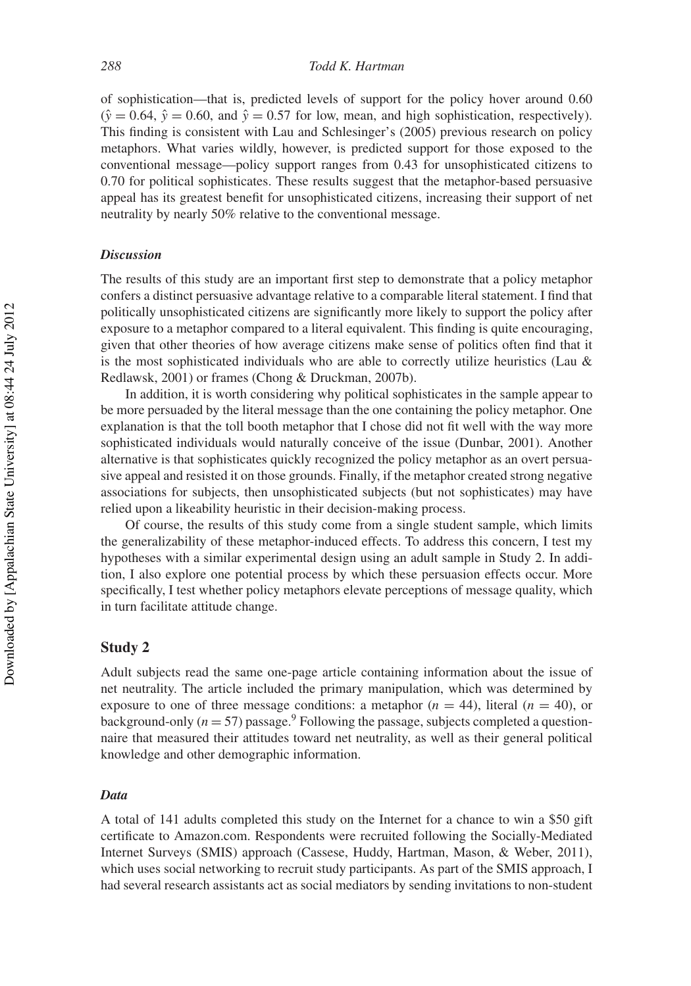of sophistication—that is, predicted levels of support for the policy hover around 0.60  $(\hat{y} = 0.64, \hat{y} = 0.60, \text{ and } \hat{y} = 0.57 \text{ for low, mean, and high sophistication, respectively).$ This finding is consistent with Lau and Schlesinger's (2005) previous research on policy metaphors. What varies wildly, however, is predicted support for those exposed to the conventional message—policy support ranges from 0.43 for unsophisticated citizens to 0.70 for political sophisticates. These results suggest that the metaphor-based persuasive appeal has its greatest benefit for unsophisticated citizens, increasing their support of net neutrality by nearly 50% relative to the conventional message.

## *Discussion*

The results of this study are an important first step to demonstrate that a policy metaphor confers a distinct persuasive advantage relative to a comparable literal statement. I find that politically unsophisticated citizens are significantly more likely to support the policy after exposure to a metaphor compared to a literal equivalent. This finding is quite encouraging, given that other theories of how average citizens make sense of politics often find that it is the most sophisticated individuals who are able to correctly utilize heuristics (Lau & Redlawsk, 2001) or frames (Chong & Druckman, 2007b).

In addition, it is worth considering why political sophisticates in the sample appear to be more persuaded by the literal message than the one containing the policy metaphor. One explanation is that the toll booth metaphor that I chose did not fit well with the way more sophisticated individuals would naturally conceive of the issue (Dunbar, 2001). Another alternative is that sophisticates quickly recognized the policy metaphor as an overt persuasive appeal and resisted it on those grounds. Finally, if the metaphor created strong negative associations for subjects, then unsophisticated subjects (but not sophisticates) may have relied upon a likeability heuristic in their decision-making process.

Of course, the results of this study come from a single student sample, which limits the generalizability of these metaphor-induced effects. To address this concern, I test my hypotheses with a similar experimental design using an adult sample in Study 2. In addition, I also explore one potential process by which these persuasion effects occur. More specifically, I test whether policy metaphors elevate perceptions of message quality, which in turn facilitate attitude change.

## **Study 2**

Adult subjects read the same one-page article containing information about the issue of net neutrality. The article included the primary manipulation, which was determined by exposure to one of three message conditions: a metaphor  $(n = 44)$ , literal  $(n = 40)$ , or background-only  $(n = 57)$  passage.<sup>9</sup> Following the passage, subjects completed a questionnaire that measured their attitudes toward net neutrality, as well as their general political knowledge and other demographic information.

#### *Data*

A total of 141 adults completed this study on the Internet for a chance to win a \$50 gift certificate to Amazon.com. Respondents were recruited following the Socially-Mediated Internet Surveys (SMIS) approach (Cassese, Huddy, Hartman, Mason, & Weber, 2011), which uses social networking to recruit study participants. As part of the SMIS approach, I had several research assistants act as social mediators by sending invitations to non-student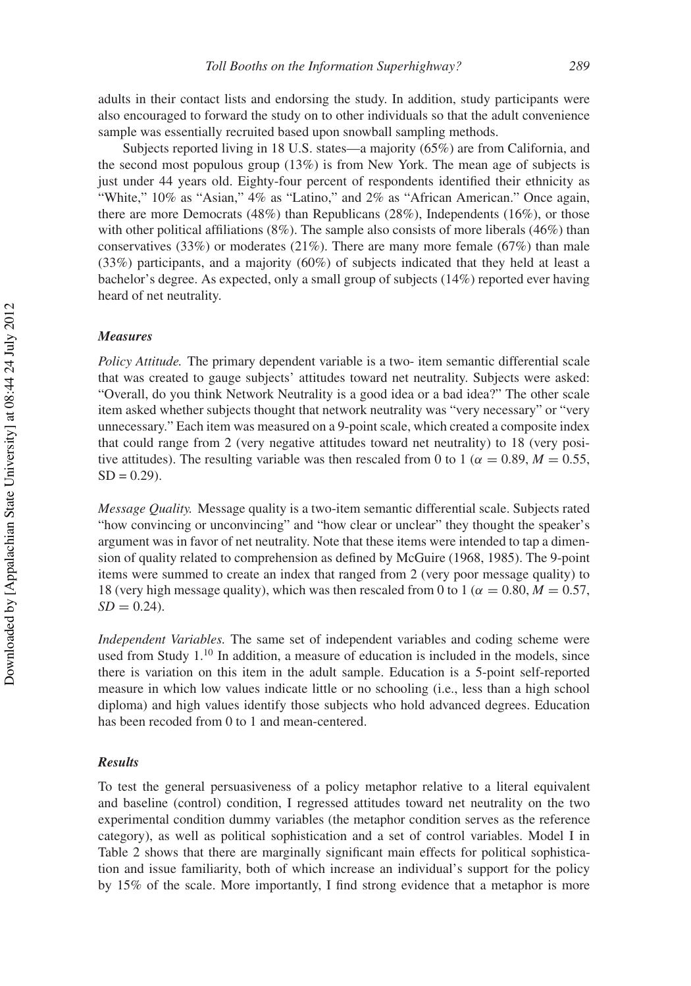adults in their contact lists and endorsing the study. In addition, study participants were also encouraged to forward the study on to other individuals so that the adult convenience sample was essentially recruited based upon snowball sampling methods.

Subjects reported living in 18 U.S. states—a majority (65%) are from California, and the second most populous group (13%) is from New York. The mean age of subjects is just under 44 years old. Eighty-four percent of respondents identified their ethnicity as "White," 10% as "Asian," 4% as "Latino," and 2% as "African American." Once again, there are more Democrats (48%) than Republicans (28%), Independents (16%), or those with other political affiliations  $(8\%)$ . The sample also consists of more liberals  $(46\%)$  than conservatives (33%) or moderates (21%). There are many more female (67%) than male (33%) participants, and a majority (60%) of subjects indicated that they held at least a bachelor's degree. As expected, only a small group of subjects (14%) reported ever having heard of net neutrality.

## *Measures*

*Policy Attitude.* The primary dependent variable is a two- item semantic differential scale that was created to gauge subjects' attitudes toward net neutrality. Subjects were asked: "Overall, do you think Network Neutrality is a good idea or a bad idea?" The other scale item asked whether subjects thought that network neutrality was "very necessary" or "very unnecessary." Each item was measured on a 9-point scale, which created a composite index that could range from 2 (very negative attitudes toward net neutrality) to 18 (very positive attitudes). The resulting variable was then rescaled from 0 to 1 ( $\alpha = 0.89, M = 0.55$ ,  $SD = 0.29$ .

*Message Quality.* Message quality is a two-item semantic differential scale. Subjects rated "how convincing or unconvincing" and "how clear or unclear" they thought the speaker's argument was in favor of net neutrality. Note that these items were intended to tap a dimension of quality related to comprehension as defined by McGuire (1968, 1985). The 9-point items were summed to create an index that ranged from 2 (very poor message quality) to 18 (very high message quality), which was then rescaled from 0 to 1 ( $\alpha = 0.80, M = 0.57$ ,  $SD = 0.24$ .

*Independent Variables.* The same set of independent variables and coding scheme were used from Study  $1<sup>10</sup>$  In addition, a measure of education is included in the models, since there is variation on this item in the adult sample. Education is a 5-point self-reported measure in which low values indicate little or no schooling (i.e., less than a high school diploma) and high values identify those subjects who hold advanced degrees. Education has been recoded from 0 to 1 and mean-centered.

#### *Results*

To test the general persuasiveness of a policy metaphor relative to a literal equivalent and baseline (control) condition, I regressed attitudes toward net neutrality on the two experimental condition dummy variables (the metaphor condition serves as the reference category), as well as political sophistication and a set of control variables. Model I in Table 2 shows that there are marginally significant main effects for political sophistication and issue familiarity, both of which increase an individual's support for the policy by 15% of the scale. More importantly, I find strong evidence that a metaphor is more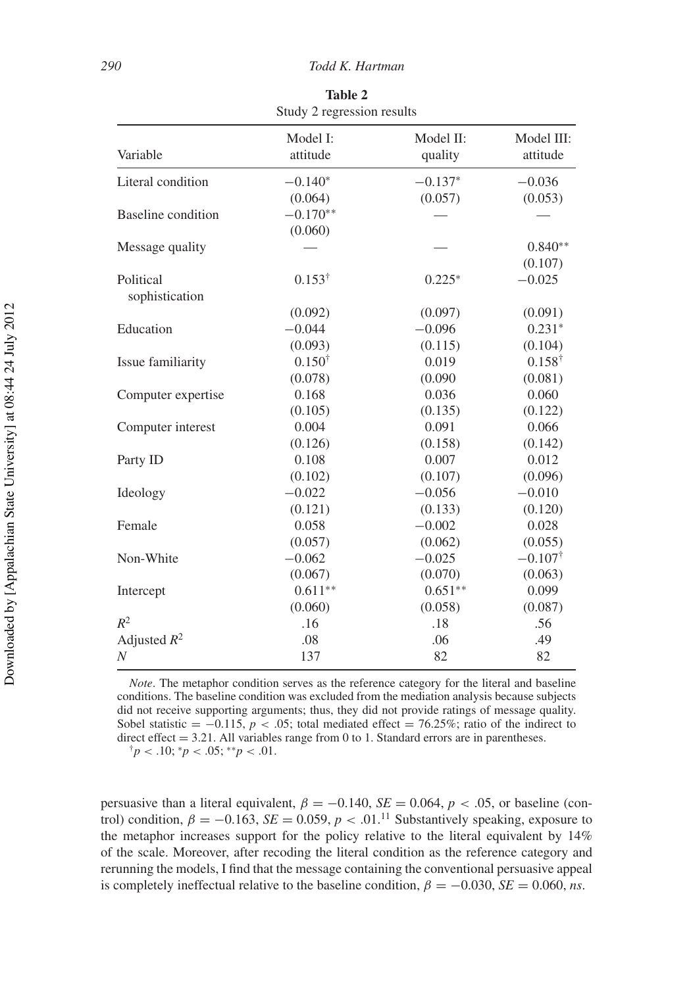**Table 2** Study 2 regression results

|                           | Model I:          | Model II: | Model III:         |
|---------------------------|-------------------|-----------|--------------------|
| Variable                  | attitude          | quality   | attitude           |
| Literal condition         | $-0.140*$         | $-0.137*$ | $-0.036$           |
|                           | (0.064)           | (0.057)   | (0.053)            |
| <b>Baseline</b> condition | $-0.170**$        |           |                    |
|                           | (0.060)           |           |                    |
| Message quality           |                   |           | $0.840**$          |
|                           |                   |           | (0.107)            |
| Political                 | $0.153^{\dagger}$ | $0.225*$  | $-0.025$           |
| sophistication            |                   |           |                    |
|                           | (0.092)           | (0.097)   | (0.091)            |
| Education                 | $-0.044$          | $-0.096$  | $0.231*$           |
|                           | (0.093)           | (0.115)   | (0.104)            |
| Issue familiarity         | $0.150^{\dagger}$ | 0.019     | $0.158^{\dagger}$  |
|                           | (0.078)           | (0.090)   | (0.081)            |
| Computer expertise        | 0.168             | 0.036     | 0.060              |
|                           | (0.105)           | (0.135)   | (0.122)            |
| Computer interest         | 0.004             | 0.091     | 0.066              |
|                           | (0.126)           | (0.158)   | (0.142)            |
| Party ID                  | 0.108             | 0.007     | 0.012              |
|                           | (0.102)           | (0.107)   | (0.096)            |
| Ideology                  | $-0.022$          | $-0.056$  | $-0.010$           |
|                           | (0.121)           | (0.133)   | (0.120)            |
| Female                    | 0.058             | $-0.002$  | 0.028              |
|                           | (0.057)           | (0.062)   | (0.055)            |
| Non-White                 | $-0.062$          | $-0.025$  | $-0.107^{\dagger}$ |
|                           | (0.067)           | (0.070)   | (0.063)            |
| Intercept                 | $0.611**$         | $0.651**$ | 0.099              |
|                           | (0.060)           | (0.058)   | (0.087)            |
| $R^2$                     | .16               | .18       | .56                |
| Adjusted $R^2$            | .08               | .06       | .49                |
| $\overline{N}$            | 137               | 82        | 82                 |
|                           |                   |           |                    |

*Note*. The metaphor condition serves as the reference category for the literal and baseline conditions. The baseline condition was excluded from the mediation analysis because subjects did not receive supporting arguments; thus, they did not provide ratings of message quality. Sobel statistic =  $-0.115$ ,  $p < .05$ ; total mediated effect = 76.25%; ratio of the indirect to direct effect = 3.21. All variables range from 0 to 1. Standard errors are in parentheses.  $\phi^{\dagger} p < .10; \phi^{\dagger} p < .05; \phi^{\dagger} p < .01.$ 

persuasive than a literal equivalent,  $\beta = -0.140$ ,  $SE = 0.064$ ,  $p < .05$ , or baseline (control) condition,  $\beta = -0.163$ ,  $SE = 0.059$ ,  $p < .01$ .<sup>11</sup> Substantively speaking, exposure to the metaphor increases support for the policy relative to the literal equivalent by 14% of the scale. Moreover, after recoding the literal condition as the reference category and rerunning the models, I find that the message containing the conventional persuasive appeal is completely ineffectual relative to the baseline condition,  $\beta = -0.030$ , *SE* = 0.060, *ns*.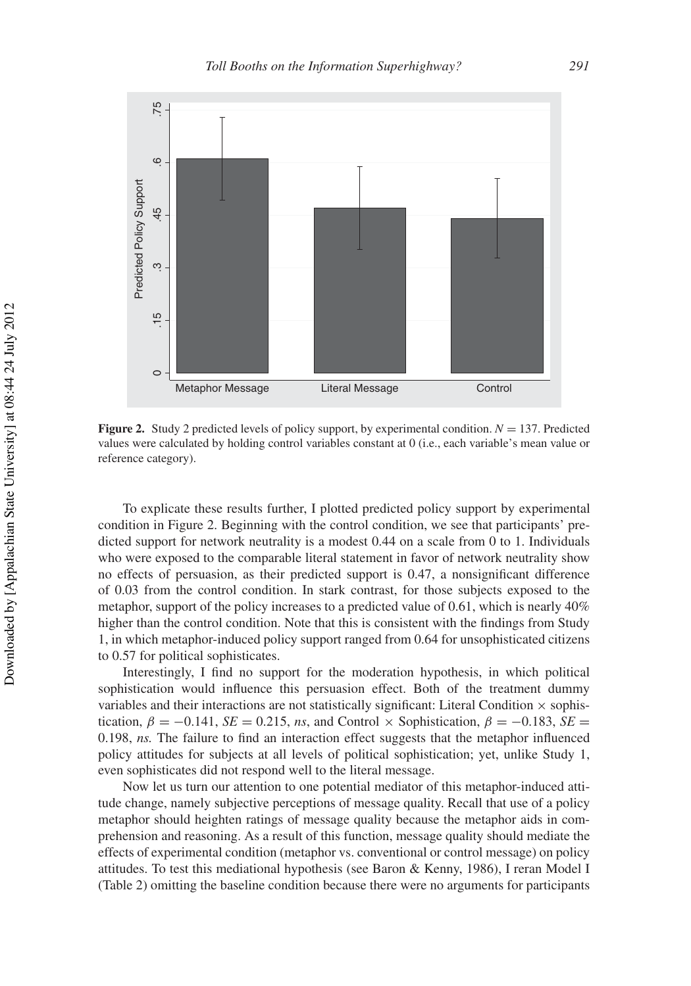

**Figure 2.** Study 2 predicted levels of policy support, by experimental condition.  $N = 137$ . Predicted values were calculated by holding control variables constant at 0 (i.e., each variable's mean value or reference category).

To explicate these results further, I plotted predicted policy support by experimental condition in Figure 2. Beginning with the control condition, we see that participants' predicted support for network neutrality is a modest 0.44 on a scale from 0 to 1. Individuals who were exposed to the comparable literal statement in favor of network neutrality show no effects of persuasion, as their predicted support is 0.47, a nonsignificant difference of 0.03 from the control condition. In stark contrast, for those subjects exposed to the metaphor, support of the policy increases to a predicted value of 0.61, which is nearly 40% higher than the control condition. Note that this is consistent with the findings from Study 1, in which metaphor-induced policy support ranged from 0.64 for unsophisticated citizens to 0.57 for political sophisticates.

Interestingly, I find no support for the moderation hypothesis, in which political sophistication would influence this persuasion effect. Both of the treatment dummy variables and their interactions are not statistically significant: Literal Condition  $\times$  sophistication,  $\beta = -0.141$ , *SE* = 0.215, *ns*, and Control × Sophistication,  $\beta = -0.183$ , *SE* = 0.198, *ns.* The failure to find an interaction effect suggests that the metaphor influenced policy attitudes for subjects at all levels of political sophistication; yet, unlike Study 1, even sophisticates did not respond well to the literal message.

Now let us turn our attention to one potential mediator of this metaphor-induced attitude change, namely subjective perceptions of message quality. Recall that use of a policy metaphor should heighten ratings of message quality because the metaphor aids in comprehension and reasoning. As a result of this function, message quality should mediate the effects of experimental condition (metaphor vs. conventional or control message) on policy attitudes. To test this mediational hypothesis (see Baron & Kenny, 1986), I reran Model I (Table 2) omitting the baseline condition because there were no arguments for participants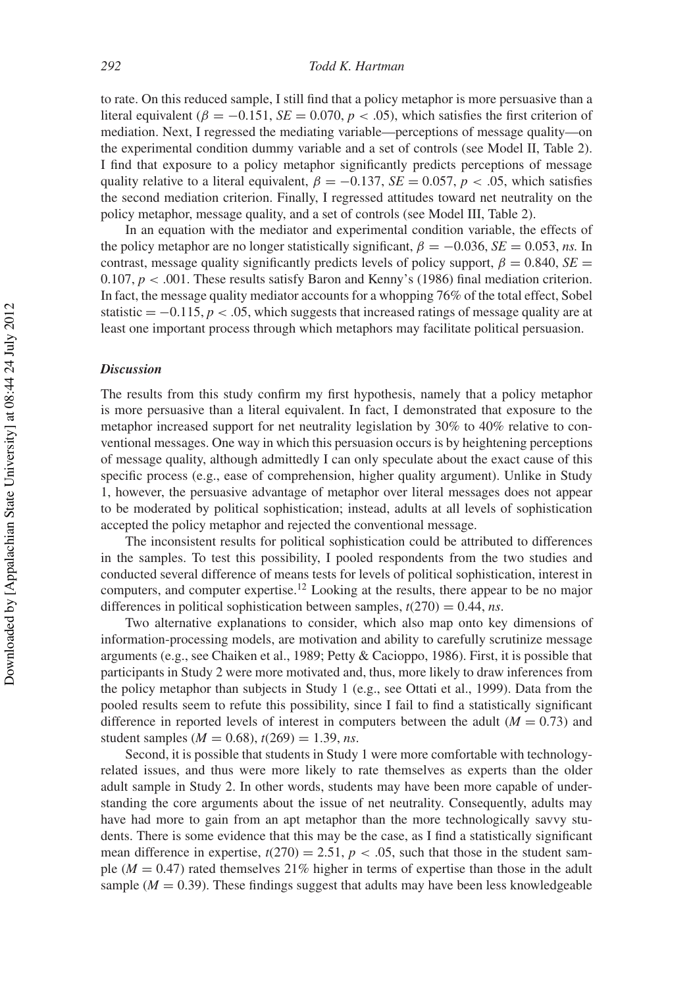to rate. On this reduced sample, I still find that a policy metaphor is more persuasive than a literal equivalent ( $\beta = -0.151$ ,  $SE = 0.070$ ,  $p < .05$ ), which satisfies the first criterion of mediation. Next, I regressed the mediating variable—perceptions of message quality—on the experimental condition dummy variable and a set of controls (see Model II, Table 2). I find that exposure to a policy metaphor significantly predicts perceptions of message quality relative to a literal equivalent,  $\beta = -0.137$ ,  $SE = 0.057$ ,  $p < .05$ , which satisfies the second mediation criterion. Finally, I regressed attitudes toward net neutrality on the policy metaphor, message quality, and a set of controls (see Model III, Table 2).

In an equation with the mediator and experimental condition variable, the effects of the policy metaphor are no longer statistically significant,  $\beta = -0.036$ ,  $SE = 0.053$ , *ns*. In contrast, message quality significantly predicts levels of policy support,  $\beta = 0.840$ ,  $SE =$ 0.107, *p <* .001. These results satisfy Baron and Kenny's (1986) final mediation criterion. In fact, the message quality mediator accounts for a whopping 76% of the total effect, Sobel statistic  $= -0.115$ ,  $p < .05$ , which suggests that increased ratings of message quality are at least one important process through which metaphors may facilitate political persuasion.

#### *Discussion*

The results from this study confirm my first hypothesis, namely that a policy metaphor is more persuasive than a literal equivalent. In fact, I demonstrated that exposure to the metaphor increased support for net neutrality legislation by 30% to 40% relative to conventional messages. One way in which this persuasion occurs is by heightening perceptions of message quality, although admittedly I can only speculate about the exact cause of this specific process (e.g., ease of comprehension, higher quality argument). Unlike in Study 1, however, the persuasive advantage of metaphor over literal messages does not appear to be moderated by political sophistication; instead, adults at all levels of sophistication accepted the policy metaphor and rejected the conventional message.

The inconsistent results for political sophistication could be attributed to differences in the samples. To test this possibility, I pooled respondents from the two studies and conducted several difference of means tests for levels of political sophistication, interest in computers, and computer expertise.12 Looking at the results, there appear to be no major differences in political sophistication between samples,  $t(270) = 0.44$ , *ns*.

Two alternative explanations to consider, which also map onto key dimensions of information-processing models, are motivation and ability to carefully scrutinize message arguments (e.g., see Chaiken et al., 1989; Petty & Cacioppo, 1986). First, it is possible that participants in Study 2 were more motivated and, thus, more likely to draw inferences from the policy metaphor than subjects in Study 1 (e.g., see Ottati et al., 1999). Data from the pooled results seem to refute this possibility, since I fail to find a statistically significant difference in reported levels of interest in computers between the adult  $(M = 0.73)$  and student samples ( $M = 0.68$ ),  $t(269) = 1.39$ , *ns*.

Second, it is possible that students in Study 1 were more comfortable with technologyrelated issues, and thus were more likely to rate themselves as experts than the older adult sample in Study 2. In other words, students may have been more capable of understanding the core arguments about the issue of net neutrality. Consequently, adults may have had more to gain from an apt metaphor than the more technologically savvy students. There is some evidence that this may be the case, as I find a statistically significant mean difference in expertise,  $t(270) = 2.51$ ,  $p < .05$ , such that those in the student sample  $(M = 0.47)$  rated themselves 21% higher in terms of expertise than those in the adult sample  $(M = 0.39)$ . These findings suggest that adults may have been less knowledgeable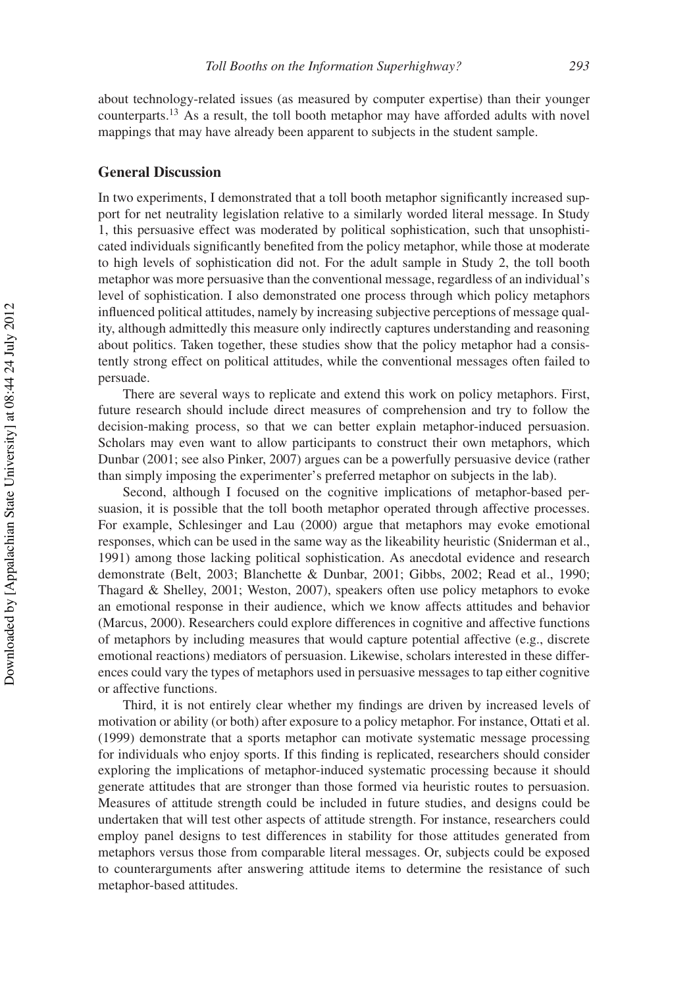about technology-related issues (as measured by computer expertise) than their younger counterparts.13 As a result, the toll booth metaphor may have afforded adults with novel mappings that may have already been apparent to subjects in the student sample.

## **General Discussion**

In two experiments, I demonstrated that a toll booth metaphor significantly increased support for net neutrality legislation relative to a similarly worded literal message. In Study 1, this persuasive effect was moderated by political sophistication, such that unsophisticated individuals significantly benefited from the policy metaphor, while those at moderate to high levels of sophistication did not. For the adult sample in Study 2, the toll booth metaphor was more persuasive than the conventional message, regardless of an individual's level of sophistication. I also demonstrated one process through which policy metaphors influenced political attitudes, namely by increasing subjective perceptions of message quality, although admittedly this measure only indirectly captures understanding and reasoning about politics. Taken together, these studies show that the policy metaphor had a consistently strong effect on political attitudes, while the conventional messages often failed to persuade.

There are several ways to replicate and extend this work on policy metaphors. First, future research should include direct measures of comprehension and try to follow the decision-making process, so that we can better explain metaphor-induced persuasion. Scholars may even want to allow participants to construct their own metaphors, which Dunbar (2001; see also Pinker, 2007) argues can be a powerfully persuasive device (rather than simply imposing the experimenter's preferred metaphor on subjects in the lab).

Second, although I focused on the cognitive implications of metaphor-based persuasion, it is possible that the toll booth metaphor operated through affective processes. For example, Schlesinger and Lau (2000) argue that metaphors may evoke emotional responses, which can be used in the same way as the likeability heuristic (Sniderman et al., 1991) among those lacking political sophistication. As anecdotal evidence and research demonstrate (Belt, 2003; Blanchette & Dunbar, 2001; Gibbs, 2002; Read et al., 1990; Thagard & Shelley, 2001; Weston, 2007), speakers often use policy metaphors to evoke an emotional response in their audience, which we know affects attitudes and behavior (Marcus, 2000). Researchers could explore differences in cognitive and affective functions of metaphors by including measures that would capture potential affective (e.g., discrete emotional reactions) mediators of persuasion. Likewise, scholars interested in these differences could vary the types of metaphors used in persuasive messages to tap either cognitive or affective functions.

Third, it is not entirely clear whether my findings are driven by increased levels of motivation or ability (or both) after exposure to a policy metaphor. For instance, Ottati et al. (1999) demonstrate that a sports metaphor can motivate systematic message processing for individuals who enjoy sports. If this finding is replicated, researchers should consider exploring the implications of metaphor-induced systematic processing because it should generate attitudes that are stronger than those formed via heuristic routes to persuasion. Measures of attitude strength could be included in future studies, and designs could be undertaken that will test other aspects of attitude strength. For instance, researchers could employ panel designs to test differences in stability for those attitudes generated from metaphors versus those from comparable literal messages. Or, subjects could be exposed to counterarguments after answering attitude items to determine the resistance of such metaphor-based attitudes.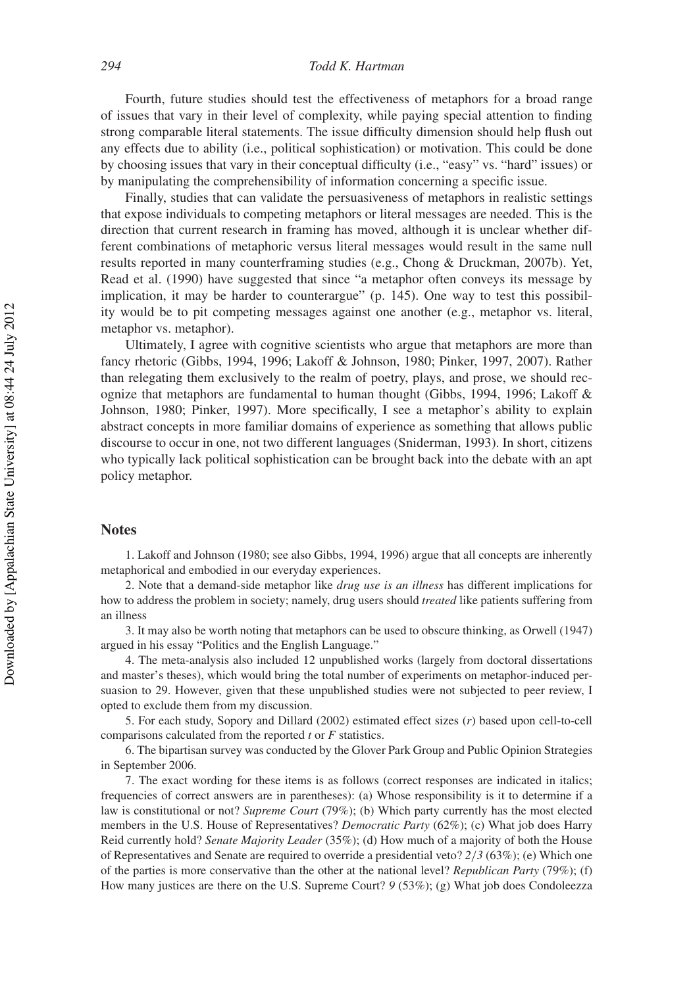## *294 Todd K. Hartman*

Fourth, future studies should test the effectiveness of metaphors for a broad range of issues that vary in their level of complexity, while paying special attention to finding strong comparable literal statements. The issue difficulty dimension should help flush out any effects due to ability (i.e., political sophistication) or motivation. This could be done by choosing issues that vary in their conceptual difficulty (i.e., "easy" vs. "hard" issues) or by manipulating the comprehensibility of information concerning a specific issue.

Finally, studies that can validate the persuasiveness of metaphors in realistic settings that expose individuals to competing metaphors or literal messages are needed. This is the direction that current research in framing has moved, although it is unclear whether different combinations of metaphoric versus literal messages would result in the same null results reported in many counterframing studies (e.g., Chong & Druckman, 2007b). Yet, Read et al. (1990) have suggested that since "a metaphor often conveys its message by implication, it may be harder to counterargue" (p. 145). One way to test this possibility would be to pit competing messages against one another (e.g., metaphor vs. literal, metaphor vs. metaphor).

Ultimately, I agree with cognitive scientists who argue that metaphors are more than fancy rhetoric (Gibbs, 1994, 1996; Lakoff & Johnson, 1980; Pinker, 1997, 2007). Rather than relegating them exclusively to the realm of poetry, plays, and prose, we should recognize that metaphors are fundamental to human thought (Gibbs, 1994, 1996; Lakoff & Johnson, 1980; Pinker, 1997). More specifically, I see a metaphor's ability to explain abstract concepts in more familiar domains of experience as something that allows public discourse to occur in one, not two different languages (Sniderman, 1993). In short, citizens who typically lack political sophistication can be brought back into the debate with an apt policy metaphor.

## **Notes**

1. Lakoff and Johnson (1980; see also Gibbs, 1994, 1996) argue that all concepts are inherently metaphorical and embodied in our everyday experiences.

2. Note that a demand-side metaphor like *drug use is an illness* has different implications for how to address the problem in society; namely, drug users should *treated* like patients suffering from an illness

3. It may also be worth noting that metaphors can be used to obscure thinking, as Orwell (1947) argued in his essay "Politics and the English Language."

4. The meta-analysis also included 12 unpublished works (largely from doctoral dissertations and master's theses), which would bring the total number of experiments on metaphor-induced persuasion to 29. However, given that these unpublished studies were not subjected to peer review, I opted to exclude them from my discussion.

5. For each study, Sopory and Dillard (2002) estimated effect sizes (*r*) based upon cell-to-cell comparisons calculated from the reported *t* or *F* statistics.

6. The bipartisan survey was conducted by the Glover Park Group and Public Opinion Strategies in September 2006.

7. The exact wording for these items is as follows (correct responses are indicated in italics; frequencies of correct answers are in parentheses): (a) Whose responsibility is it to determine if a law is constitutional or not? *Supreme Court* (79%); (b) Which party currently has the most elected members in the U.S. House of Representatives? *Democratic Party* (62%); (c) What job does Harry Reid currently hold? *Senate Majority Leader* (35%); (d) How much of a majority of both the House of Representatives and Senate are required to override a presidential veto? *2/3* (63%); (e) Which one of the parties is more conservative than the other at the national level? *Republican Party* (79%); (f) How many justices are there on the U.S. Supreme Court? *9* (53%); (g) What job does Condoleezza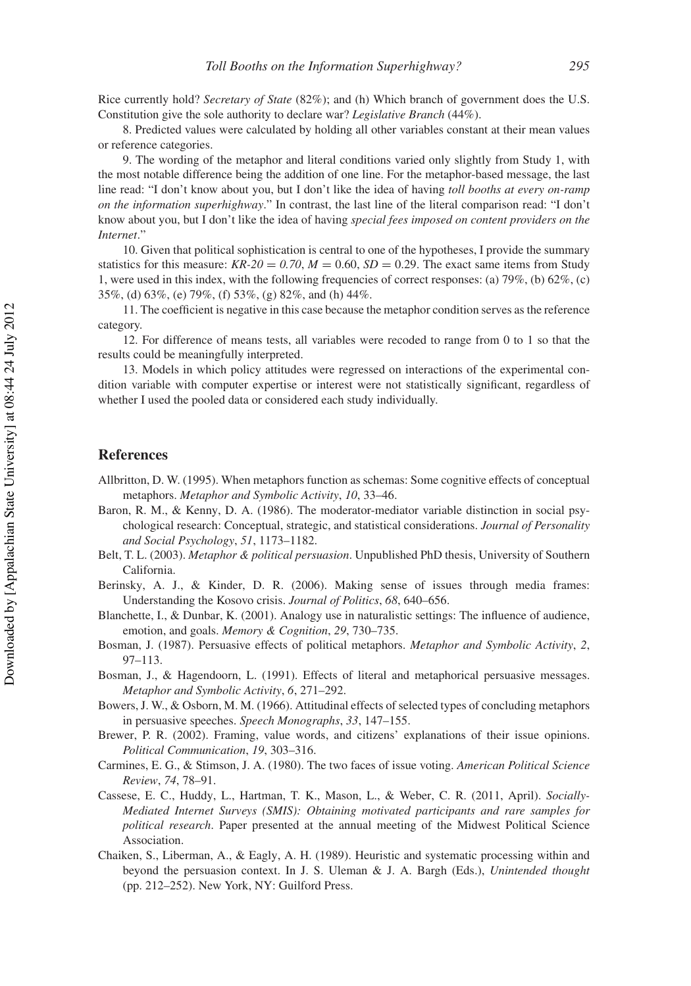Rice currently hold? *Secretary of State* (82%); and (h) Which branch of government does the U.S. Constitution give the sole authority to declare war? *Legislative Branch* (44%).

8. Predicted values were calculated by holding all other variables constant at their mean values or reference categories.

9. The wording of the metaphor and literal conditions varied only slightly from Study 1, with the most notable difference being the addition of one line. For the metaphor-based message, the last line read: "I don't know about you, but I don't like the idea of having *toll booths at every on-ramp on the information superhighway*." In contrast, the last line of the literal comparison read: "I don't know about you, but I don't like the idea of having *special fees imposed on content providers on the Internet*."

10. Given that political sophistication is central to one of the hypotheses, I provide the summary statistics for this measure:  $KR-20 = 0.70$ ,  $M = 0.60$ ,  $SD = 0.29$ . The exact same items from Study 1, were used in this index, with the following frequencies of correct responses: (a) 79%, (b) 62%, (c) 35%, (d) 63%, (e) 79%, (f) 53%, (g) 82%, and (h) 44%.

11. The coefficient is negative in this case because the metaphor condition serves as the reference category.

12. For difference of means tests, all variables were recoded to range from 0 to 1 so that the results could be meaningfully interpreted.

13. Models in which policy attitudes were regressed on interactions of the experimental condition variable with computer expertise or interest were not statistically significant, regardless of whether I used the pooled data or considered each study individually.

## **References**

- Allbritton, D. W. (1995). When metaphors function as schemas: Some cognitive effects of conceptual metaphors. *Metaphor and Symbolic Activity*, *10*, 33–46.
- Baron, R. M., & Kenny, D. A. (1986). The moderator-mediator variable distinction in social psychological research: Conceptual, strategic, and statistical considerations. *Journal of Personality and Social Psychology*, *51*, 1173–1182.
- Belt, T. L. (2003). *Metaphor & political persuasion*. Unpublished PhD thesis, University of Southern California.
- Berinsky, A. J., & Kinder, D. R. (2006). Making sense of issues through media frames: Understanding the Kosovo crisis. *Journal of Politics*, *68*, 640–656.
- Blanchette, I., & Dunbar, K. (2001). Analogy use in naturalistic settings: The influence of audience, emotion, and goals. *Memory & Cognition*, *29*, 730–735.
- Bosman, J. (1987). Persuasive effects of political metaphors. *Metaphor and Symbolic Activity*, *2*, 97–113.
- Bosman, J., & Hagendoorn, L. (1991). Effects of literal and metaphorical persuasive messages. *Metaphor and Symbolic Activity*, *6*, 271–292.
- Bowers, J. W., & Osborn, M. M. (1966). Attitudinal effects of selected types of concluding metaphors in persuasive speeches. *Speech Monographs*, *33*, 147–155.
- Brewer, P. R. (2002). Framing, value words, and citizens' explanations of their issue opinions. *Political Communication*, *19*, 303–316.
- Carmines, E. G., & Stimson, J. A. (1980). The two faces of issue voting. *American Political Science Review*, *74*, 78–91.
- Cassese, E. C., Huddy, L., Hartman, T. K., Mason, L., & Weber, C. R. (2011, April). *Socially-Mediated Internet Surveys (SMIS): Obtaining motivated participants and rare samples for political research*. Paper presented at the annual meeting of the Midwest Political Science Association.
- Chaiken, S., Liberman, A., & Eagly, A. H. (1989). Heuristic and systematic processing within and beyond the persuasion context. In J. S. Uleman & J. A. Bargh (Eds.), *Unintended thought* (pp. 212–252). New York, NY: Guilford Press.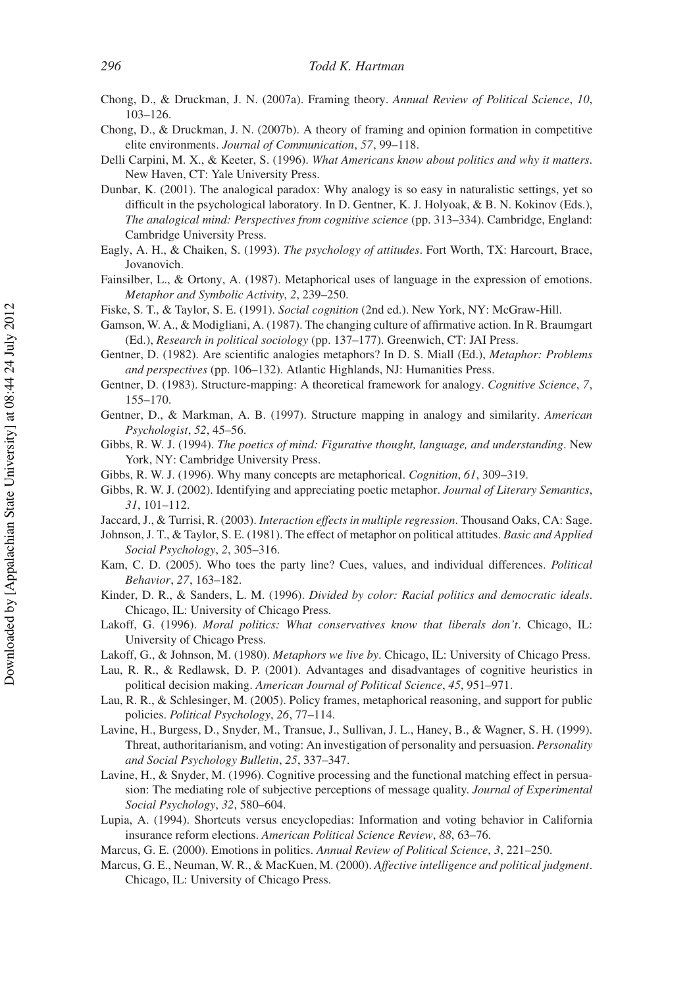- Chong, D., & Druckman, J. N. (2007a). Framing theory. *Annual Review of Political Science*, *10*, 103–126.
- Chong, D., & Druckman, J. N. (2007b). A theory of framing and opinion formation in competitive elite environments. *Journal of Communication*, *57*, 99–118.
- Delli Carpini, M. X., & Keeter, S. (1996). *What Americans know about politics and why it matters*. New Haven, CT: Yale University Press.
- Dunbar, K. (2001). The analogical paradox: Why analogy is so easy in naturalistic settings, yet so difficult in the psychological laboratory. In D. Gentner, K. J. Holyoak, & B. N. Kokinov (Eds.), *The analogical mind: Perspectives from cognitive science* (pp. 313–334). Cambridge, England: Cambridge University Press.
- Eagly, A. H., & Chaiken, S. (1993). *The psychology of attitudes*. Fort Worth, TX: Harcourt, Brace, Jovanovich.
- Fainsilber, L., & Ortony, A. (1987). Metaphorical uses of language in the expression of emotions. *Metaphor and Symbolic Activity*, *2*, 239–250.
- Fiske, S. T., & Taylor, S. E. (1991). *Social cognition* (2nd ed.). New York, NY: McGraw-Hill.
- Gamson, W. A., & Modigliani, A. (1987). The changing culture of affirmative action. In R. Braumgart (Ed.), *Research in political sociology* (pp. 137–177). Greenwich, CT: JAI Press.
- Gentner, D. (1982). Are scientific analogies metaphors? In D. S. Miall (Ed.), *Metaphor: Problems and perspectives* (pp. 106–132). Atlantic Highlands, NJ: Humanities Press.
- Gentner, D. (1983). Structure-mapping: A theoretical framework for analogy. *Cognitive Science*, *7*, 155–170.
- Gentner, D., & Markman, A. B. (1997). Structure mapping in analogy and similarity. *American Psychologist*, *52*, 45–56.
- Gibbs, R. W. J. (1994). *The poetics of mind: Figurative thought, language, and understanding*. New York, NY: Cambridge University Press.
- Gibbs, R. W. J. (1996). Why many concepts are metaphorical. *Cognition*, *61*, 309–319.
- Gibbs, R. W. J. (2002). Identifying and appreciating poetic metaphor. *Journal of Literary Semantics*, *31*, 101–112.
- Jaccard, J., & Turrisi, R. (2003). *Interaction effects in multiple regression*. Thousand Oaks, CA: Sage.
- Johnson, J. T., & Taylor, S. E. (1981). The effect of metaphor on political attitudes. *Basic and Applied Social Psychology*, *2*, 305–316.
- Kam, C. D. (2005). Who toes the party line? Cues, values, and individual differences. *Political Behavior*, *27*, 163–182.
- Kinder, D. R., & Sanders, L. M. (1996). *Divided by color: Racial politics and democratic ideals*. Chicago, IL: University of Chicago Press.
- Lakoff, G. (1996). *Moral politics: What conservatives know that liberals don't*. Chicago, IL: University of Chicago Press.
- Lakoff, G., & Johnson, M. (1980). *Metaphors we live by*. Chicago, IL: University of Chicago Press.
- Lau, R. R., & Redlawsk, D. P. (2001). Advantages and disadvantages of cognitive heuristics in political decision making. *American Journal of Political Science*, *45*, 951–971.
- Lau, R. R., & Schlesinger, M. (2005). Policy frames, metaphorical reasoning, and support for public policies. *Political Psychology*, *26*, 77–114.
- Lavine, H., Burgess, D., Snyder, M., Transue, J., Sullivan, J. L., Haney, B., & Wagner, S. H. (1999). Threat, authoritarianism, and voting: An investigation of personality and persuasion. *Personality and Social Psychology Bulletin*, *25*, 337–347.
- Lavine, H., & Snyder, M. (1996). Cognitive processing and the functional matching effect in persuasion: The mediating role of subjective perceptions of message quality. *Journal of Experimental Social Psychology*, *32*, 580–604.
- Lupia, A. (1994). Shortcuts versus encyclopedias: Information and voting behavior in California insurance reform elections. *American Political Science Review*, *88*, 63–76.
- Marcus, G. E. (2000). Emotions in politics. *Annual Review of Political Science*, *3*, 221–250.
- Marcus, G. E., Neuman, W. R., & MacKuen, M. (2000). *Affective intelligence and political judgment*. Chicago, IL: University of Chicago Press.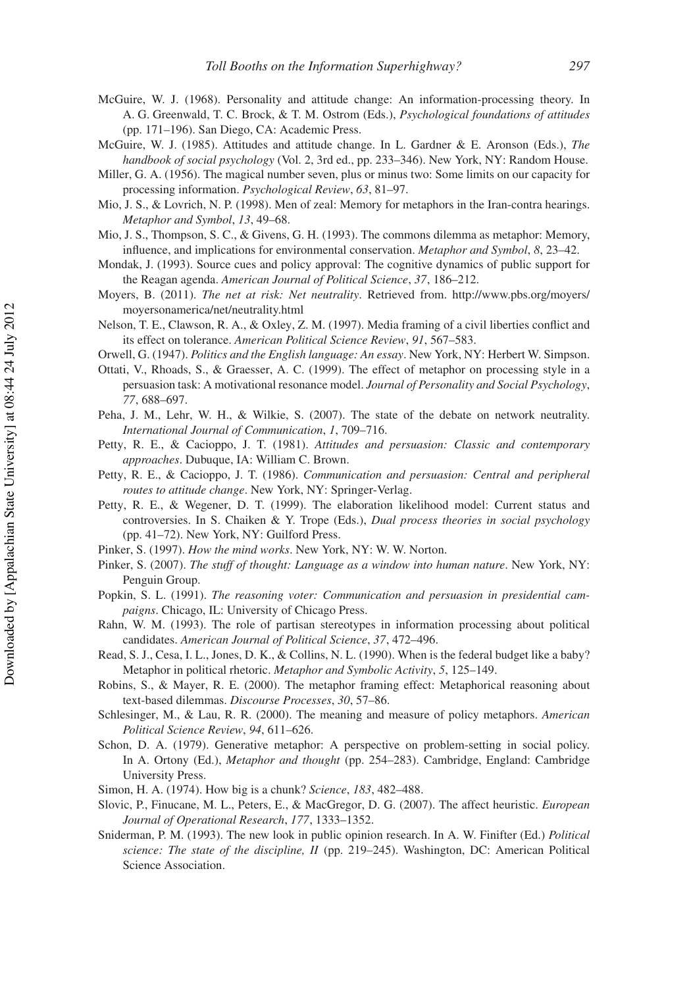- McGuire, W. J. (1968). Personality and attitude change: An information-processing theory. In A. G. Greenwald, T. C. Brock, & T. M. Ostrom (Eds.), *Psychological foundations of attitudes* (pp. 171–196). San Diego, CA: Academic Press.
- McGuire, W. J. (1985). Attitudes and attitude change. In L. Gardner & E. Aronson (Eds.), *The handbook of social psychology* (Vol. 2, 3rd ed., pp. 233–346). New York, NY: Random House.
- Miller, G. A. (1956). The magical number seven, plus or minus two: Some limits on our capacity for processing information. *Psychological Review*, *63*, 81–97.
- Mio, J. S., & Lovrich, N. P. (1998). Men of zeal: Memory for metaphors in the Iran-contra hearings. *Metaphor and Symbol*, *13*, 49–68.
- Mio, J. S., Thompson, S. C., & Givens, G. H. (1993). The commons dilemma as metaphor: Memory, influence, and implications for environmental conservation. *Metaphor and Symbol*, *8*, 23–42.
- Mondak, J. (1993). Source cues and policy approval: The cognitive dynamics of public support for the Reagan agenda. *American Journal of Political Science*, *37*, 186–212.
- Moyers, B. (2011). *The net at risk: Net neutrality*. Retrieved from. http://www.pbs.org/moyers/ moyersonamerica/net/neutrality.html
- Nelson, T. E., Clawson, R. A., & Oxley, Z. M. (1997). Media framing of a civil liberties conflict and its effect on tolerance. *American Political Science Review*, *91*, 567–583.

Orwell, G. (1947). *Politics and the English language: An essay*. New York, NY: Herbert W. Simpson.

- Ottati, V., Rhoads, S., & Graesser, A. C. (1999). The effect of metaphor on processing style in a persuasion task: A motivational resonance model. *Journal of Personality and Social Psychology*, *77*, 688–697.
- Peha, J. M., Lehr, W. H., & Wilkie, S. (2007). The state of the debate on network neutrality. *International Journal of Communication*, *1*, 709–716.
- Petty, R. E., & Cacioppo, J. T. (1981). *Attitudes and persuasion: Classic and contemporary approaches*. Dubuque, IA: William C. Brown.
- Petty, R. E., & Cacioppo, J. T. (1986). *Communication and persuasion: Central and peripheral routes to attitude change*. New York, NY: Springer-Verlag.
- Petty, R. E., & Wegener, D. T. (1999). The elaboration likelihood model: Current status and controversies. In S. Chaiken & Y. Trope (Eds.), *Dual process theories in social psychology* (pp. 41–72). New York, NY: Guilford Press.
- Pinker, S. (1997). *How the mind works*. New York, NY: W. W. Norton.
- Pinker, S. (2007). *The stuff of thought: Language as a window into human nature*. New York, NY: Penguin Group.
- Popkin, S. L. (1991). *The reasoning voter: Communication and persuasion in presidential campaigns*. Chicago, IL: University of Chicago Press.
- Rahn, W. M. (1993). The role of partisan stereotypes in information processing about political candidates. *American Journal of Political Science*, *37*, 472–496.
- Read, S. J., Cesa, I. L., Jones, D. K., & Collins, N. L. (1990). When is the federal budget like a baby? Metaphor in political rhetoric. *Metaphor and Symbolic Activity*, *5*, 125–149.
- Robins, S., & Mayer, R. E. (2000). The metaphor framing effect: Metaphorical reasoning about text-based dilemmas. *Discourse Processes*, *30*, 57–86.
- Schlesinger, M., & Lau, R. R. (2000). The meaning and measure of policy metaphors. *American Political Science Review*, *94*, 611–626.
- Schon, D. A. (1979). Generative metaphor: A perspective on problem-setting in social policy. In A. Ortony (Ed.), *Metaphor and thought* (pp. 254–283). Cambridge, England: Cambridge University Press.
- Simon, H. A. (1974). How big is a chunk? *Science*, *183*, 482–488.
- Slovic, P., Finucane, M. L., Peters, E., & MacGregor, D. G. (2007). The affect heuristic. *European Journal of Operational Research*, *177*, 1333–1352.
- Sniderman, P. M. (1993). The new look in public opinion research. In A. W. Finifter (Ed.) *Political science: The state of the discipline, II* (pp. 219–245). Washington, DC: American Political Science Association.